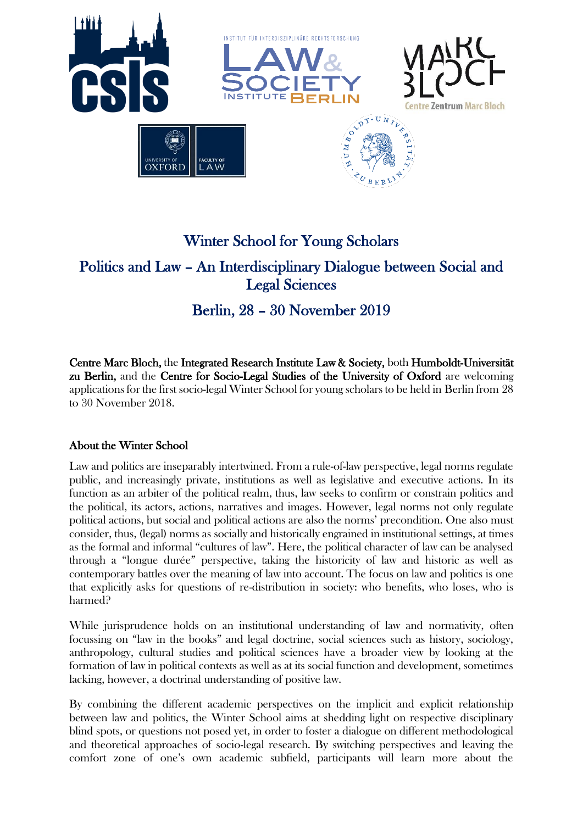

# Winter School for Young Scholars Politics and Law – An Interdisciplinary Dialogue between Social and Legal Sciences

# Berlin, 28 – 30 November 2019

Centre Marc Bloch, the Integrated Research Institute Law & Society, both Humboldt-Universität zu Berlin, and the Centre for Socio-Legal Studies of the University of Oxford are welcoming applications for the first socio-legal Winter School for young scholars to be held in Berlin from 28 to 30 November 2018.

# About the Winter School

Law and politics are inseparably intertwined. From a rule-of-law perspective, legal norms regulate public, and increasingly private, institutions as well as legislative and executive actions. In its function as an arbiter of the political realm, thus, law seeks to confirm or constrain politics and the political, its actors, actions, narratives and images. However, legal norms not only regulate political actions, but social and political actions are also the norms' precondition. One also must consider, thus, (legal) norms as socially and historically engrained in institutional settings, at times as the formal and informal "cultures of law". Here, the political character of law can be analysed through a "longue durée" perspective, taking the historicity of law and historic as well as contemporary battles over the meaning of law into account. The focus on law and politics is one that explicitly asks for questions of re-distribution in society: who benefits, who loses, who is harmed?

While jurisprudence holds on an institutional understanding of law and normativity, often focussing on "law in the books" and legal doctrine, social sciences such as history, sociology, anthropology, cultural studies and political sciences have a broader view by looking at the formation of law in political contexts as well as at its social function and development, sometimes lacking, however, a doctrinal understanding of positive law.

By combining the different academic perspectives on the implicit and explicit relationship between law and politics, the Winter School aims at shedding light on respective disciplinary blind spots, or questions not posed yet, in order to foster a dialogue on different methodological and theoretical approaches of socio-legal research. By switching perspectives and leaving the comfort zone of one's own academic subfield, participants will learn more about the